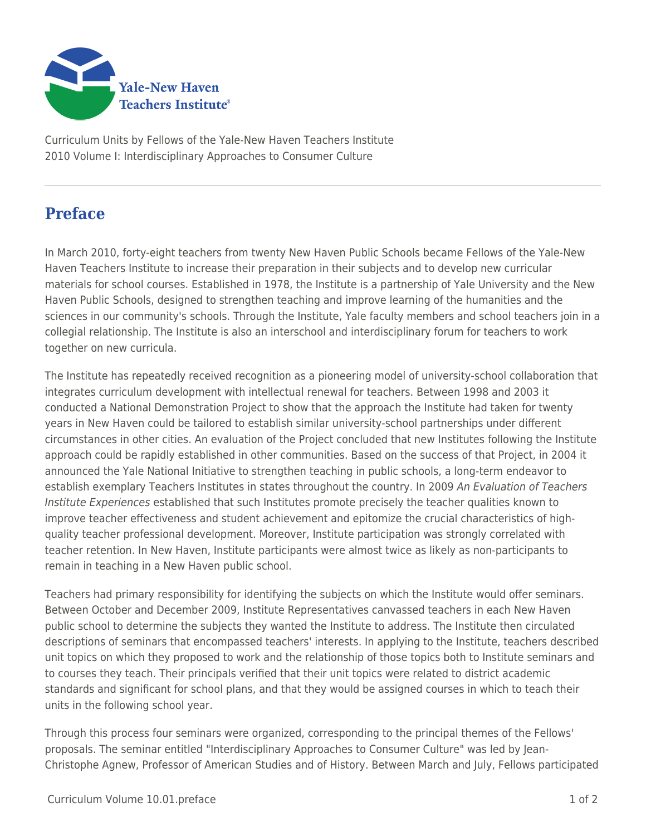

Curriculum Units by Fellows of the Yale-New Haven Teachers Institute 2010 Volume I: Interdisciplinary Approaches to Consumer Culture

## **Preface**

In March 2010, forty-eight teachers from twenty New Haven Public Schools became Fellows of the Yale-New Haven Teachers Institute to increase their preparation in their subjects and to develop new curricular materials for school courses. Established in 1978, the Institute is a partnership of Yale University and the New Haven Public Schools, designed to strengthen teaching and improve learning of the humanities and the sciences in our community's schools. Through the Institute, Yale faculty members and school teachers join in a collegial relationship. The Institute is also an interschool and interdisciplinary forum for teachers to work together on new curricula.

The Institute has repeatedly received recognition as a pioneering model of university-school collaboration that integrates curriculum development with intellectual renewal for teachers. Between 1998 and 2003 it conducted a National Demonstration Project to show that the approach the Institute had taken for twenty years in New Haven could be tailored to establish similar university-school partnerships under different circumstances in other cities. An evaluation of the Project concluded that new Institutes following the Institute approach could be rapidly established in other communities. Based on the success of that Project, in 2004 it announced the Yale National Initiative to strengthen teaching in public schools, a long-term endeavor to establish exemplary Teachers Institutes in states throughout the country. In 2009 An Evaluation of Teachers Institute Experiences established that such Institutes promote precisely the teacher qualities known to improve teacher effectiveness and student achievement and epitomize the crucial characteristics of highquality teacher professional development. Moreover, Institute participation was strongly correlated with teacher retention. In New Haven, Institute participants were almost twice as likely as non-participants to remain in teaching in a New Haven public school.

Teachers had primary responsibility for identifying the subjects on which the Institute would offer seminars. Between October and December 2009, Institute Representatives canvassed teachers in each New Haven public school to determine the subjects they wanted the Institute to address. The Institute then circulated descriptions of seminars that encompassed teachers' interests. In applying to the Institute, teachers described unit topics on which they proposed to work and the relationship of those topics both to Institute seminars and to courses they teach. Their principals verified that their unit topics were related to district academic standards and significant for school plans, and that they would be assigned courses in which to teach their units in the following school year.

Through this process four seminars were organized, corresponding to the principal themes of the Fellows' proposals. The seminar entitled "Interdisciplinary Approaches to Consumer Culture" was led by Jean-Christophe Agnew, Professor of American Studies and of History. Between March and July, Fellows participated